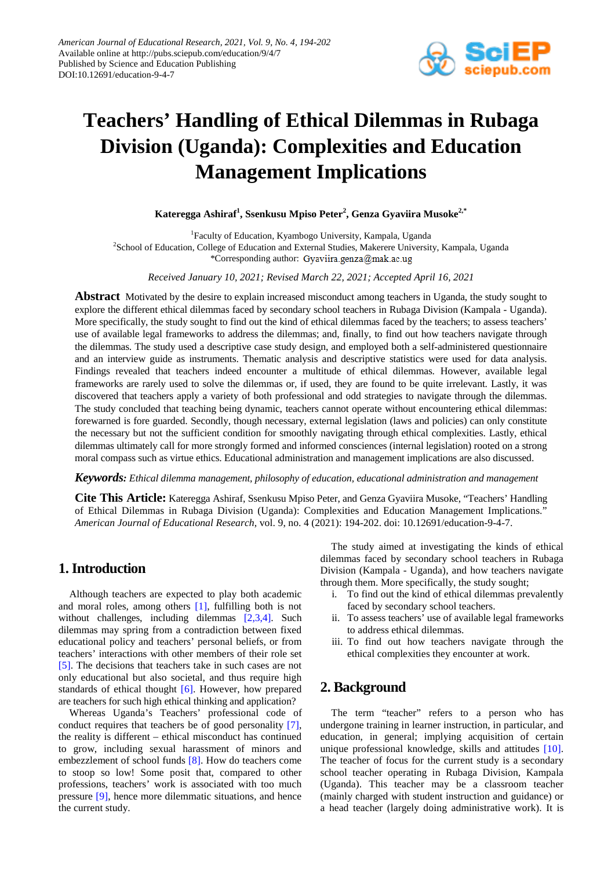

# **Teachers' Handling of Ethical Dilemmas in Rubaga Division (Uganda): Complexities and Education Management Implications**

**Kateregga Ashiraf<sup>1</sup> , Ssenkusu Mpiso Peter<sup>2</sup> , Genza Gyaviira Musoke2,\***

<sup>1</sup>Faculty of Education, Kyambogo University, Kampala, Uganda <sup>2</sup>School of Education, College of Education and External Studies, Makerere University, Kampala, Uganda \*Corresponding author: Gyaviira.genza@mak.ac.ug

*Received January 10, 2021; Revised March 22, 2021; Accepted April 16, 2021*

**Abstract** Motivated by the desire to explain increased misconduct among teachers in Uganda, the study sought to explore the different ethical dilemmas faced by secondary school teachers in Rubaga Division (Kampala - Uganda). More specifically, the study sought to find out the kind of ethical dilemmas faced by the teachers; to assess teachers' use of available legal frameworks to address the dilemmas; and, finally, to find out how teachers navigate through the dilemmas. The study used a descriptive case study design, and employed both a self-administered questionnaire and an interview guide as instruments. Thematic analysis and descriptive statistics were used for data analysis. Findings revealed that teachers indeed encounter a multitude of ethical dilemmas. However, available legal frameworks are rarely used to solve the dilemmas or, if used, they are found to be quite irrelevant. Lastly, it was discovered that teachers apply a variety of both professional and odd strategies to navigate through the dilemmas. The study concluded that teaching being dynamic, teachers cannot operate without encountering ethical dilemmas: forewarned is fore guarded. Secondly, though necessary, external legislation (laws and policies) can only constitute the necessary but not the sufficient condition for smoothly navigating through ethical complexities. Lastly, ethical dilemmas ultimately call for more strongly formed and informed consciences (internal legislation) rooted on a strong moral compass such as virtue ethics. Educational administration and management implications are also discussed.

*Keywords: Ethical dilemma management, philosophy of education, educational administration and management*

**Cite This Article:** Kateregga Ashiraf, Ssenkusu Mpiso Peter, and Genza Gyaviira Musoke, "Teachers' Handling of Ethical Dilemmas in Rubaga Division (Uganda): Complexities and Education Management Implications." *American Journal of Educational Research*, vol. 9, no. 4 (2021): 194-202. doi: 10.12691/education-9-4-7.

# **1. Introduction**

Although teachers are expected to play both academic and moral roles, among others [\[1\],](#page-7-0) fulfilling both is not without challenges, including dilemmas [\[2,3,4\].](#page-7-1) Such dilemmas may spring from a contradiction between fixed educational policy and teachers' personal beliefs, or from teachers' interactions with other members of their role set [\[5\].](#page-8-0) The decisions that teachers take in such cases are not only educational but also societal, and thus require high standards of ethical thought [\[6\].](#page-8-1) However, how prepared are teachers for such high ethical thinking and application?

Whereas Uganda's Teachers' professional code of conduct requires that teachers be of good personality [\[7\],](#page-8-2) the reality is different – ethical misconduct has continued to grow, including sexual harassment of minors and embezzlement of school funds [\[8\].](#page-8-3) How do teachers come to stoop so low! Some posit that, compared to other professions, teachers' work is associated with too much pressure [\[9\],](#page-8-4) hence more dilemmatic situations, and hence the current study.

The study aimed at investigating the kinds of ethical dilemmas faced by secondary school teachers in Rubaga Division (Kampala - Uganda), and how teachers navigate through them. More specifically, the study sought;

- i. To find out the kind of ethical dilemmas prevalently faced by secondary school teachers.
- ii. To assess teachers' use of available legal frameworks to address ethical dilemmas.
- iii. To find out how teachers navigate through the ethical complexities they encounter at work.

# **2. Background**

The term "teacher" refers to a person who has undergone training in learner instruction, in particular, and education, in general; implying acquisition of certain unique professional knowledge, skills and attitudes [\[10\].](#page-8-5) The teacher of focus for the current study is a secondary school teacher operating in Rubaga Division, Kampala (Uganda). This teacher may be a classroom teacher (mainly charged with student instruction and guidance) or a head teacher (largely doing administrative work). It is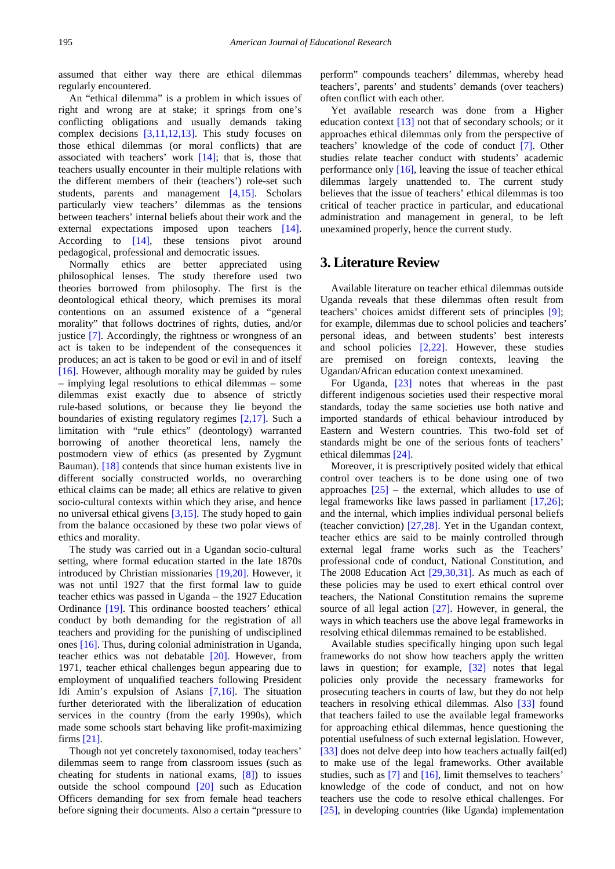assumed that either way there are ethical dilemmas regularly encountered.

An "ethical dilemma" is a problem in which issues of right and wrong are at stake; it springs from one's conflicting obligations and usually demands taking complex decisions [\[3,11,12,13\].](#page-8-6) This study focuses on those ethical dilemmas (or moral conflicts) that are associated with teachers' work  $[14]$ ; that is, those that teachers usually encounter in their multiple relations with the different members of their (teachers') role-set such students, parents and management [\[4,15\].](#page-8-8) Scholars particularly view teachers' dilemmas as the tensions between teachers' internal beliefs about their work and the external expectations imposed upon teachers [\[14\].](#page-8-7) According to [\[14\],](#page-8-7) these tensions pivot around pedagogical, professional and democratic issues.

Normally ethics are better appreciated using philosophical lenses. The study therefore used two theories borrowed from philosophy. The first is the deontological ethical theory, which premises its moral contentions on an assumed existence of a "general morality" that follows doctrines of rights, duties, and/or justice [\[7\].](#page-8-2) Accordingly, the rightness or wrongness of an act is taken to be independent of the consequences it produces; an act is taken to be good or evil in and of itself [\[16\].](#page-8-9) However, although morality may be guided by rules – implying legal resolutions to ethical dilemmas – some dilemmas exist exactly due to absence of strictly rule-based solutions, or because they lie beyond the boundaries of existing regulatory regimes [\[2,17\].](#page-7-1) Such a limitation with "rule ethics" (deontology) warranted borrowing of another theoretical lens, namely the postmodern view of ethics (as presented by Zygmunt Bauman). [\[18\]](#page-8-10) contends that since human existents live in different socially constructed worlds, no overarching ethical claims can be made; all ethics are relative to given socio-cultural contexts within which they arise, and hence no universal ethical givens [\[3,15\].](#page-8-6) The study hoped to gain from the balance occasioned by these two polar views of ethics and morality.

The study was carried out in a Ugandan socio-cultural setting, where formal education started in the late 1870s introduced by Christian missionaries [\[19,20\].](#page-8-11) However, it was not until 1927 that the first formal law to guide teacher ethics was passed in Uganda – the 1927 Education Ordinance [\[19\].](#page-8-11) This ordinance boosted teachers' ethical conduct by both demanding for the registration of all teachers and providing for the punishing of undisciplined ones [\[16\].](#page-8-9) Thus, during colonial administration in Uganda, teacher ethics was not debatable [\[20\].](#page-8-12) However, from 1971, teacher ethical challenges begun appearing due to employment of unqualified teachers following President Idi Amin's expulsion of Asians [\[7,16\].](#page-8-2) The situation further deteriorated with the liberalization of education services in the country (from the early 1990s), which made some schools start behaving like profit-maximizing firms [\[21\].](#page-8-13)

Though not yet concretely taxonomised, today teachers' dilemmas seem to range from classroom issues (such as cheating for students in national exams, [\[8\]\)](#page-8-3) to issues outside the school compound [\[20\]](#page-8-12) such as Education Officers demanding for sex from female head teachers before signing their documents. Also a certain "pressure to

perform" compounds teachers' dilemmas, whereby head teachers', parents' and students' demands (over teachers) often conflict with each other.

Yet available research was done from a Higher education context [\[13\]](#page-8-14) not that of secondary schools; or it approaches ethical dilemmas only from the perspective of teachers' knowledge of the code of conduct [\[7\].](#page-8-2) Other studies relate teacher conduct with students' academic performance only [\[16\],](#page-8-9) leaving the issue of teacher ethical dilemmas largely unattended to. The current study believes that the issue of teachers' ethical dilemmas is too critical of teacher practice in particular, and educational administration and management in general, to be left unexamined properly, hence the current study.

# **3. Literature Review**

Available literature on teacher ethical dilemmas outside Uganda reveals that these dilemmas often result from teachers' choices amidst different sets of principles [\[9\];](#page-8-4) for example, dilemmas due to school policies and teachers' personal ideas, and between students' best interests and school policies [\[2,22\].](#page-7-1) However, these studies are premised on foreign contexts, leaving the Ugandan/African education context unexamined.

For Uganda, [\[23\]](#page-8-15) notes that whereas in the past different indigenous societies used their respective moral standards, today the same societies use both native and imported standards of ethical behaviour introduced by Eastern and Western countries. This two-fold set of standards might be one of the serious fonts of teachers' ethical dilemma[s \[24\].](#page-8-16) 

Moreover, it is prescriptively posited widely that ethical control over teachers is to be done using one of two approaches  $[25]$  – the external, which alludes to use of legal frameworks like laws passed in parliament [\[17,26\];](#page-8-18) and the internal, which implies individual personal beliefs (teacher conviction) [\[27,28\].](#page-8-19) Yet in the Ugandan context, teacher ethics are said to be mainly controlled through external legal frame works such as the Teachers' professional code of conduct, National Constitution, and The 2008 Education Act [\[29,30,31\].](#page-8-20) As much as each of these policies may be used to exert ethical control over teachers, the National Constitution remains the supreme source of all legal action [\[27\].](#page-8-19) However, in general, the ways in which teachers use the above legal frameworks in resolving ethical dilemmas remained to be established.

Available studies specifically hinging upon such legal frameworks do not show how teachers apply the written laws in question; for example, [\[32\]](#page-8-21) notes that legal policies only provide the necessary frameworks for prosecuting teachers in courts of law, but they do not help teachers in resolving ethical dilemmas. Also [\[33\]](#page-8-22) found that teachers failed to use the available legal frameworks for approaching ethical dilemmas, hence questioning the potential usefulness of such external legislation. However, [\[33\]](#page-8-22) does not delve deep into how teachers actually fail(ed) to make use of the legal frameworks. Other available studies, such as [\[7\]](#page-8-2) and [\[16\],](#page-8-9) limit themselves to teachers' knowledge of the code of conduct, and not on how teachers use the code to resolve ethical challenges. For [\[25\],](#page-8-17) in developing countries (like Uganda) implementation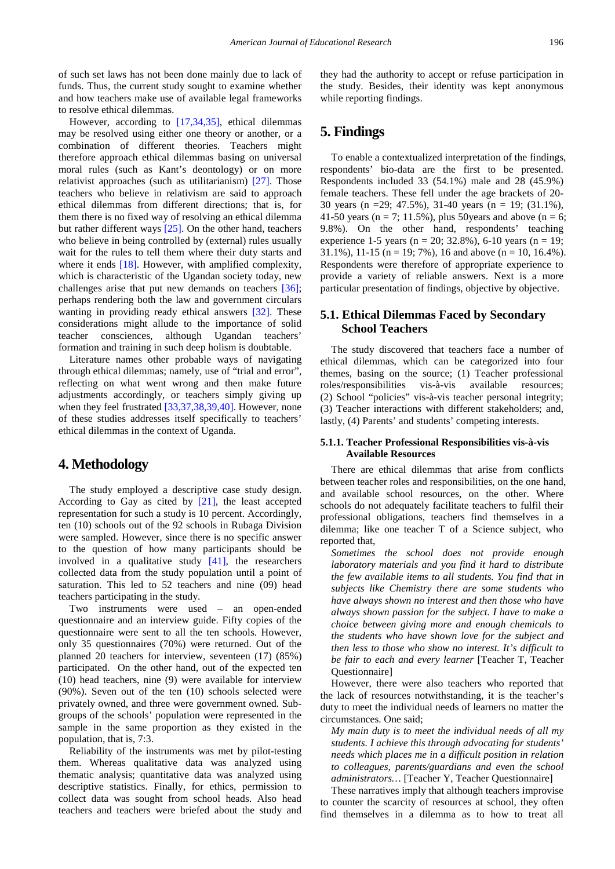of such set laws has not been done mainly due to lack of funds. Thus, the current study sought to examine whether and how teachers make use of available legal frameworks to resolve ethical dilemmas.

However, according to [\[17,34,35\],](#page-8-18) ethical dilemmas may be resolved using either one theory or another, or a combination of different theories. Teachers might therefore approach ethical dilemmas basing on universal moral rules (such as Kant's deontology) or on more relativist approaches (such as utilitarianism) [\[27\].](#page-8-19) Those teachers who believe in relativism are said to approach ethical dilemmas from different directions; that is, for them there is no fixed way of resolving an ethical dilemma but rather different ways [\[25\].](#page-8-17) On the other hand, teachers who believe in being controlled by (external) rules usually wait for the rules to tell them where their duty starts and where it ends [\[18\].](#page-8-10) However, with amplified complexity, which is characteristic of the Ugandan society today, new challenges arise that put new demands on teachers [\[36\];](#page-8-23) perhaps rendering both the law and government circulars wanting in providing ready ethical answers [\[32\].](#page-8-21) These considerations might allude to the importance of solid teacher consciences, although Ugandan teachers' formation and training in such deep holism is doubtable.

Literature names other probable ways of navigating through ethical dilemmas; namely, use of "trial and error", reflecting on what went wrong and then make future adjustments accordingly, or teachers simply giving up when they feel frustrated [\[33,37,38,39,40\].](#page-8-22) However, none of these studies addresses itself specifically to teachers' ethical dilemmas in the context of Uganda.

### **4. Methodology**

The study employed a descriptive case study design. According to Gay as cited by [\[21\],](#page-8-13) the least accepted representation for such a study is 10 percent. Accordingly, ten (10) schools out of the 92 schools in Rubaga Division were sampled. However, since there is no specific answer to the question of how many participants should be involved in a qualitative study  $[41]$ , the researchers collected data from the study population until a point of saturation. This led to 52 teachers and nine (09) head teachers participating in the study.

Two instruments were used – an open-ended questionnaire and an interview guide. Fifty copies of the questionnaire were sent to all the ten schools. However, only 35 questionnaires (70%) were returned. Out of the planned 20 teachers for interview, seventeen (17) (85%) participated. On the other hand, out of the expected ten (10) head teachers, nine (9) were available for interview (90%). Seven out of the ten (10) schools selected were privately owned, and three were government owned. Subgroups of the schools' population were represented in the sample in the same proportion as they existed in the population, that is, 7:3.

Reliability of the instruments was met by pilot-testing them. Whereas qualitative data was analyzed using thematic analysis; quantitative data was analyzed using descriptive statistics. Finally, for ethics, permission to collect data was sought from school heads. Also head teachers and teachers were briefed about the study and they had the authority to accept or refuse participation in the study. Besides, their identity was kept anonymous while reporting findings.

# **5. Findings**

To enable a contextualized interpretation of the findings, respondents' bio-data are the first to be presented. Respondents included 33 (54.1%) male and 28 (45.9%) female teachers. These fell under the age brackets of 20- 30 years (n =29; 47.5%), 31-40 years (n = 19; (31.1%), 41-50 years ( $n = 7$ ; 11.5%), plus 50 years and above ( $n = 6$ ; 9.8%). On the other hand, respondents' teaching experience 1-5 years (n = 20; 32.8%), 6-10 years (n = 19; 31.1%), 11-15 (n = 19; 7%), 16 and above (n = 10, 16.4%). Respondents were therefore of appropriate experience to provide a variety of reliable answers. Next is a more particular presentation of findings, objective by objective.

### **5.1. Ethical Dilemmas Faced by Secondary School Teachers**

The study discovered that teachers face a number of ethical dilemmas, which can be categorized into four themes, basing on the source; (1) Teacher professional roles/responsibilities vis-à-vis available resources; (2) School "policies" vis-à-vis teacher personal integrity; (3) Teacher interactions with different stakeholders; and, lastly, (4) Parents' and students' competing interests.

#### **5.1.1. Teacher Professional Responsibilities vis-à-vis Available Resources**

There are ethical dilemmas that arise from conflicts between teacher roles and responsibilities, on the one hand, and available school resources, on the other. Where schools do not adequately facilitate teachers to fulfil their professional obligations, teachers find themselves in a dilemma; like one teacher T of a Science subject, who reported that,

*Sometimes the school does not provide enough laboratory materials and you find it hard to distribute the few available items to all students. You find that in subjects like Chemistry there are some students who have always shown no interest and then those who have always shown passion for the subject. I have to make a choice between giving more and enough chemicals to the students who have shown love for the subject and then less to those who show no interest. It's difficult to be fair to each and every learner* [Teacher T, Teacher Questionnaire]

However, there were also teachers who reported that the lack of resources notwithstanding, it is the teacher's duty to meet the individual needs of learners no matter the circumstances. One said;

*My main duty is to meet the individual needs of all my students. I achieve this through advocating for students' needs which places me in a difficult position in relation to colleagues, parents/guardians and even the school administrators…* [Teacher Y, Teacher Questionnaire]

These narratives imply that although teachers improvise to counter the scarcity of resources at school, they often find themselves in a dilemma as to how to treat all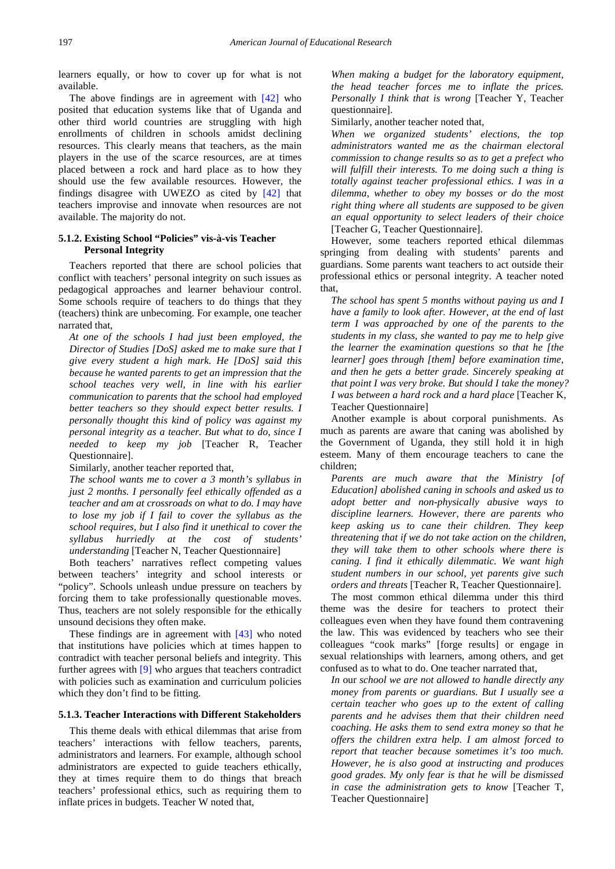learners equally, or how to cover up for what is not available.

The above findings are in agreement with [\[42\]](#page-8-25) who posited that education systems like that of Uganda and other third world countries are struggling with high enrollments of children in schools amidst declining resources. This clearly means that teachers, as the main players in the use of the scarce resources, are at times placed between a rock and hard place as to how they should use the few available resources. However, the findings disagree with UWEZO as cited by  $[42]$  that teachers improvise and innovate when resources are not available. The majority do not.

#### **5.1.2. Existing School "Policies" vis-à-vis Teacher Personal Integrity**

Teachers reported that there are school policies that conflict with teachers' personal integrity on such issues as pedagogical approaches and learner behaviour control. Some schools require of teachers to do things that they (teachers) think are unbecoming. For example, one teacher narrated that,

*At one of the schools I had just been employed, the Director of Studies [DoS] asked me to make sure that I give every student a high mark. He [DoS] said this because he wanted parents to get an impression that the school teaches very well, in line with his earlier communication to parents that the school had employed better teachers so they should expect better results. I personally thought this kind of policy was against my personal integrity as a teacher. But what to do, since I needed to keep my job* [Teacher R, Teacher Questionnaire].

Similarly, another teacher reported that,

*The school wants me to cover a 3 month's syllabus in just 2 months. I personally feel ethically offended as a teacher and am at crossroads on what to do. I may have to lose my job if I fail to cover the syllabus as the school requires, but I also find it unethical to cover the syllabus hurriedly at the cost of students' understanding* [Teacher N, Teacher Questionnaire]

Both teachers' narratives reflect competing values between teachers' integrity and school interests or "policy". Schools unleash undue pressure on teachers by forcing them to take professionally questionable moves. Thus, teachers are not solely responsible for the ethically unsound decisions they often make.

These findings are in agreement with [\[43\]](#page-8-26) who noted that institutions have policies which at times happen to contradict with teacher personal beliefs and integrity. This further agrees with [\[9\]](#page-8-4) who argues that teachers contradict with policies such as examination and curriculum policies which they don't find to be fitting.

#### **5.1.3. Teacher Interactions with Different Stakeholders**

This theme deals with ethical dilemmas that arise from teachers' interactions with fellow teachers, parents, administrators and learners. For example, although school administrators are expected to guide teachers ethically, they at times require them to do things that breach teachers' professional ethics, such as requiring them to inflate prices in budgets. Teacher W noted that,

*When making a budget for the laboratory equipment, the head teacher forces me to inflate the prices. Personally I think that is wrong* [Teacher Y, Teacher questionnaire].

Similarly, another teacher noted that,

*When we organized students' elections, the top administrators wanted me as the chairman electoral commission to change results so as to get a prefect who will fulfill their interests. To me doing such a thing is totally against teacher professional ethics. I was in a dilemma, whether to obey my bosses or do the most right thing where all students are supposed to be given an equal opportunity to select leaders of their choice*  [Teacher G, Teacher Questionnaire].

However, some teachers reported ethical dilemmas springing from dealing with students' parents and guardians. Some parents want teachers to act outside their professional ethics or personal integrity. A teacher noted that,

*The school has spent 5 months without paying us and I have a family to look after. However, at the end of last term I was approached by one of the parents to the students in my class, she wanted to pay me to help give the learner the examination questions so that he [the learner] goes through [them] before examination time, and then he gets a better grade. Sincerely speaking at that point I was very broke. But should I take the money? I was between a hard rock and a hard place* [Teacher K, Teacher Questionnaire]

Another example is about corporal punishments. As much as parents are aware that caning was abolished by the Government of Uganda, they still hold it in high esteem. Many of them encourage teachers to cane the children;

*Parents are much aware that the Ministry [of Education] abolished caning in schools and asked us to adopt better and non-physically abusive ways to discipline learners. However, there are parents who keep asking us to cane their children. They keep threatening that if we do not take action on the children, they will take them to other schools where there is caning. I find it ethically dilemmatic. We want high student numbers in our school, yet parents give such orders and threats* [Teacher R, Teacher Questionnaire].

The most common ethical dilemma under this third theme was the desire for teachers to protect their colleagues even when they have found them contravening the law. This was evidenced by teachers who see their colleagues "cook marks" [forge results] or engage in sexual relationships with learners, among others, and get confused as to what to do. One teacher narrated that,

*In* our *school we are not allowed to handle directly any money from parents or guardians. But I usually see a certain teacher who goes up to the extent of calling parents and he advises them that their children need coaching. He asks them to send extra money so that he offers the children extra help. I am almost forced to report that teacher because sometimes it's too much. However, he is also good at instructing and produces good grades. My only fear is that he will be dismissed in case the administration gets to know* [Teacher T, Teacher Questionnaire]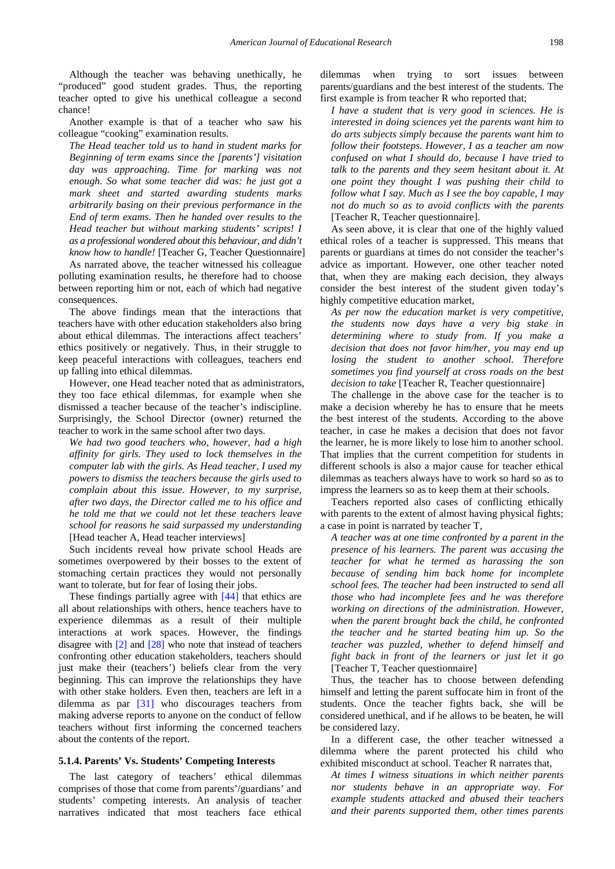Although the teacher was behaving unethically, he "produced" good student grades. Thus, the reporting teacher opted to give his unethical colleague a second chance!

Another example is that of a teacher who saw his colleague "cooking" examination results.

*The Head teacher told us to hand in student marks for Beginning of term exams since the [parents'] visitation day was approaching. Time for marking was not enough. So what some teacher did was: he just got a mark sheet and started awarding students marks arbitrarily basing on their previous performance in the End of term exams. Then he handed over results to the Head teacher but without marking students' scripts! I as a professional wondered about this behaviour, and didn't know how to handle!* [Teacher G, Teacher Questionnaire]

As narrated above, the teacher witnessed his colleague polluting examination results, he therefore had to choose between reporting him or not, each of which had negative consequences.

The above findings mean that the interactions that teachers have with other education stakeholders also bring about ethical dilemmas. The interactions affect teachers' ethics positively or negatively. Thus, in their struggle to keep peaceful interactions with colleagues, teachers end up falling into ethical dilemmas.

However, one Head teacher noted that as administrators, they too face ethical dilemmas, for example when she dismissed a teacher because of the teacher's indiscipline. Surprisingly, the School Director (owner) returned the teacher to work in the same school after two days.

*We had two good teachers who, however, had a high affinity for girls. They used to lock themselves in the computer lab with the girls. As Head teacher, I used my powers to dismiss the teachers because the girls used to complain about this issue. However, to my surprise, after two days, the Director called me to his office and he told me that we could not let these teachers leave school for reasons he said surpassed my understanding*  [Head teacher A, Head teacher interviews]

Such incidents reveal how private school Heads are sometimes overpowered by their bosses to the extent of stomaching certain practices they would not personally want to tolerate, but for fear of losing their jobs.

These findings partially agree with [\[44\]](#page-8-27) that ethics are all about relationships with others, hence teachers have to experience dilemmas as a result of their multiple interactions at work spaces. However, the findings disagree with [\[2\]](#page-7-1) and [\[28\]](#page-8-28) who note that instead of teachers confronting other education stakeholders, teachers should just make their (teachers') beliefs clear from the very beginning. This can improve the relationships they have with other stake holders. Even then, teachers are left in a dilemma as par [\[31\]](#page-8-29) who discourages teachers from making adverse reports to anyone on the conduct of fellow teachers without first informing the concerned teachers about the contents of the report.

#### **5.1.4. Parents' Vs. Students' Competing Interests**

The last category of teachers' ethical dilemmas comprises of those that come from parents'/guardians' and students' competing interests. An analysis of teacher narratives indicated that most teachers face ethical

dilemmas when trying to sort issues between parents/guardians and the best interest of the students. The first example is from teacher R who reported that;

*I have a student that is very good in sciences. He is interested in doing sciences yet the parents want him to do arts subjects simply because the parents want him to follow their footsteps. However, I as a teacher am now confused on what I should do, because I have tried to talk to the parents and they seem hesitant about it. At one point they thought I was pushing their child to follow what I say. Much as I see the boy capable, I may not do much so as to avoid conflicts with the parents*  [Teacher R, Teacher questionnaire].

As seen above, it is clear that one of the highly valued ethical roles of a teacher is suppressed. This means that parents or guardians at times do not consider the teacher's advice as important. However, one other teacher noted that, when they are making each decision, they always consider the best interest of the student given today's highly competitive education market,

*As per now the education market is very competitive, the students now days have a very big stake in determining where to study from. If you make a decision that does not favor him/her, you may end up losing the student to another school. Therefore sometimes you find yourself at cross roads on the best decision to take* [Teacher R, Teacher questionnaire]

The challenge in the above case for the teacher is to make a decision whereby he has to ensure that he meets the best interest of the students. According to the above teacher, in case he makes a decision that does not favor the learner, he is more likely to lose him to another school. That implies that the current competition for students in different schools is also a major cause for teacher ethical dilemmas as teachers always have to work so hard so as to impress the learners so as to keep them at their schools.

Teachers reported also cases of conflicting ethically with parents to the extent of almost having physical fights; a case in point is narrated by teacher T,

*A teacher was at one time confronted by a parent in the presence of his learners. The parent was accusing the teacher for what he termed as harassing the son because of sending him back home for incomplete school fees. The teacher had been instructed to send all those who had incomplete fees and he was therefore working on directions of the administration. However, when the parent brought back the child, he confronted the teacher and he started beating him up. So the teacher was puzzled, whether to defend himself and fight back in front of the learners or just let it go*  [Teacher T, Teacher questionnaire]

Thus, the teacher has to choose between defending himself and letting the parent suffocate him in front of the students. Once the teacher fights back, she will be considered unethical, and if he allows to be beaten, he will be considered lazy.

In a different case, the other teacher witnessed a dilemma where the parent protected his child who exhibited misconduct at school. Teacher R narrates that,

*At times I witness situations in which neither parents nor students behave in an appropriate way. For example students attacked and abused their teachers and their parents supported them, other times parents*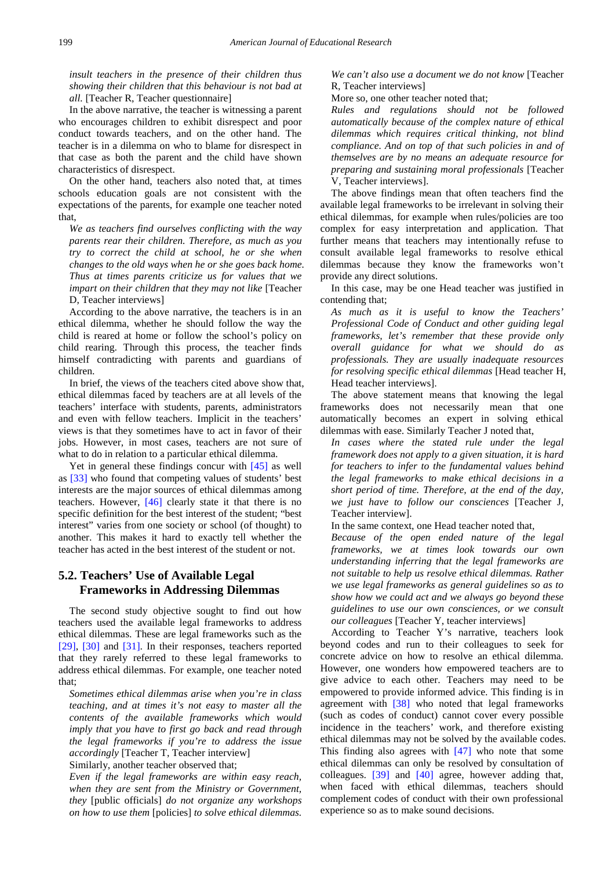*insult teachers in the presence of their children thus showing their children that this behaviour is not bad at all.* [Teacher R, Teacher questionnaire]

In the above narrative, the teacher is witnessing a parent who encourages children to exhibit disrespect and poor conduct towards teachers, and on the other hand. The teacher is in a dilemma on who to blame for disrespect in that case as both the parent and the child have shown characteristics of disrespect.

On the other hand, teachers also noted that, at times schools education goals are not consistent with the expectations of the parents, for example one teacher noted that,

*We as teachers find ourselves conflicting with the way parents rear their children. Therefore, as much as you try to correct the child at school, he or she when changes to the old ways when he or she goes back home. Thus at times parents criticize us for values that we impart on their children that they may not like* [Teacher D, Teacher interviews]

According to the above narrative, the teachers is in an ethical dilemma, whether he should follow the way the child is reared at home or follow the school's policy on child rearing. Through this process, the teacher finds himself contradicting with parents and guardians of children.

In brief, the views of the teachers cited above show that, ethical dilemmas faced by teachers are at all levels of the teachers' interface with students, parents, administrators and even with fellow teachers. Implicit in the teachers' views is that they sometimes have to act in favor of their jobs. However, in most cases, teachers are not sure of what to do in relation to a particular ethical dilemma.

Yet in general these findings concur with [\[45\]](#page-8-30) as well as [\[33\]](#page-8-22) who found that competing values of students' best interests are the major sources of ethical dilemmas among teachers. However, [\[46\]](#page-8-31) clearly state it that there is no specific definition for the best interest of the student; "best interest" varies from one society or school (of thought) to another. This makes it hard to exactly tell whether the teacher has acted in the best interest of the student or not.

# **5.2. Teachers' Use of Available Legal Frameworks in Addressing Dilemmas**

The second study objective sought to find out how teachers used the available legal frameworks to address ethical dilemmas. These are legal frameworks such as the [\[29\],](#page-8-20) [\[30\]](#page-8-32) and [\[31\].](#page-8-29) In their responses, teachers reported that they rarely referred to these legal frameworks to address ethical dilemmas. For example, one teacher noted that;

*Sometimes ethical dilemmas arise when you're in class teaching, and at times it's not easy to master all the contents of the available frameworks which would imply that you have to first go back and read through the legal frameworks if you're to address the issue accordingly* [Teacher T, Teacher interview]

Similarly, another teacher observed that;

*Even if the legal frameworks are within easy reach, when they are sent from the Ministry or Government, they* [public officials] *do not organize any workshops on how to use them* [policies] *to solve ethical dilemmas.* 

*We can't also use a document we do not know* [Teacher R, Teacher interviews]

More so, one other teacher noted that;

*Rules and regulations should not be followed automatically because of the complex nature of ethical dilemmas which requires critical thinking, not blind compliance. And on top of that such policies in and of themselves are by no means an adequate resource for preparing and sustaining moral professionals* [Teacher V, Teacher interviews].

The above findings mean that often teachers find the available legal frameworks to be irrelevant in solving their ethical dilemmas, for example when rules/policies are too complex for easy interpretation and application. That further means that teachers may intentionally refuse to consult available legal frameworks to resolve ethical dilemmas because they know the frameworks won't provide any direct solutions.

In this case, may be one Head teacher was justified in contending that;

*As much as it is useful to know the Teachers' Professional Code of Conduct and other guiding legal frameworks, let's remember that these provide only overall guidance for what we should do as professionals. They are usually inadequate resources for resolving specific ethical dilemmas* [Head teacher H, Head teacher interviews].

The above statement means that knowing the legal frameworks does not necessarily mean that one automatically becomes an expert in solving ethical dilemmas with ease. Similarly Teacher J noted that,

*In cases where the stated rule under the legal framework does not apply to a given situation, it is hard for teachers to infer to the fundamental values behind the legal frameworks to make ethical decisions in a short period of time. Therefore, at the end of the day, we just have to follow our consciences* [Teacher J, Teacher interview].

In the same context, one Head teacher noted that,

*Because of the open ended nature of the legal frameworks, we at times look towards our own understanding inferring that the legal frameworks are not suitable to help us resolve ethical dilemmas. Rather we use legal frameworks as general guidelines so as to show how we could act and we always go beyond these guidelines to use our own consciences, or we consult our colleagues* [Teacher Y, teacher interviews]

According to Teacher Y's narrative, teachers look beyond codes and run to their colleagues to seek for concrete advice on how to resolve an ethical dilemma. However, one wonders how empowered teachers are to give advice to each other. Teachers may need to be empowered to provide informed advice. This finding is in agreement with [\[38\]](#page-8-33) who noted that legal frameworks (such as codes of conduct) cannot cover every possible incidence in the teachers' work, and therefore existing ethical dilemmas may not be solved by the available codes. This finding also agrees with  $[47]$  who note that some ethical dilemmas can only be resolved by consultation of colleagues. [\[39\]](#page-8-35) and [\[40\]](#page-8-36) agree, however adding that, when faced with ethical dilemmas, teachers should complement codes of conduct with their own professional experience so as to make sound decisions.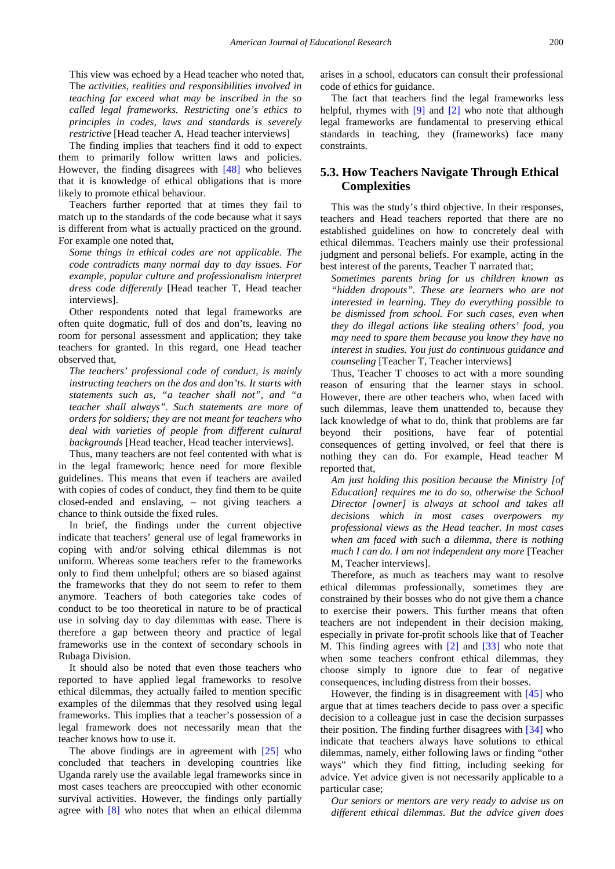This view was echoed by a Head teacher who noted that, The *activities, realities and responsibilities involved in teaching far exceed what may be inscribed in the so called legal frameworks. Restricting one's ethics to principles in codes, laws and standards is severely restrictive* [Head teacher A, Head teacher interviews]

The finding implies that teachers find it odd to expect them to primarily follow written laws and policies. However, the finding disagrees with [\[48\]](#page-8-37) who believes that it is knowledge of ethical obligations that is more likely to promote ethical behaviour.

Teachers further reported that at times they fail to match up to the standards of the code because what it says is different from what is actually practiced on the ground. For example one noted that,

*Some things in ethical codes are not applicable. The code contradicts many normal day to day issues. For example, popular culture and professionalism interpret dress code differently* [Head teacher T, Head teacher interviews].

Other respondents noted that legal frameworks are often quite dogmatic, full of dos and don'ts, leaving no room for personal assessment and application; they take teachers for granted. In this regard, one Head teacher observed that,

*The teachers' professional code of conduct, is mainly instructing teachers on the dos and don'ts. It starts with statements such as, "a teacher shall not", and "a teacher shall always". Such statements are more of orders for soldiers; they are not meant for teachers who deal with varieties of people from different cultural backgrounds* [Head teacher, Head teacher interviews].

Thus, many teachers are not feel contented with what is in the legal framework; hence need for more flexible guidelines. This means that even if teachers are availed with copies of codes of conduct, they find them to be quite closed-ended and enslaving, – not giving teachers a chance to think outside the fixed rules.

In brief, the findings under the current objective indicate that teachers' general use of legal frameworks in coping with and/or solving ethical dilemmas is not uniform. Whereas some teachers refer to the frameworks only to find them unhelpful; others are so biased against the frameworks that they do not seem to refer to them anymore. Teachers of both categories take codes of conduct to be too theoretical in nature to be of practical use in solving day to day dilemmas with ease. There is therefore a gap between theory and practice of legal frameworks use in the context of secondary schools in Rubaga Division.

It should also be noted that even those teachers who reported to have applied legal frameworks to resolve ethical dilemmas, they actually failed to mention specific examples of the dilemmas that they resolved using legal frameworks. This implies that a teacher's possession of a legal framework does not necessarily mean that the teacher knows how to use it.

The above findings are in agreement with  $[25]$  who concluded that teachers in developing countries like Uganda rarely use the available legal frameworks since in most cases teachers are preoccupied with other economic survival activities. However, the findings only partially agree with [\[8\]](#page-8-3) who notes that when an ethical dilemma

arises in a school, educators can consult their professional code of ethics for guidance.

The fact that teachers find the legal frameworks less helpful, rhymes with  $[9]$  and  $[2]$  who note that although legal frameworks are fundamental to preserving ethical standards in teaching, they (frameworks) face many constraints.

### **5.3. How Teachers Navigate Through Ethical Complexities**

This was the study's third objective. In their responses, teachers and Head teachers reported that there are no established guidelines on how to concretely deal with ethical dilemmas. Teachers mainly use their professional judgment and personal beliefs. For example, acting in the best interest of the parents, Teacher T narrated that;

*Sometimes parents bring for us children known as "hidden dropouts". These are learners who are not interested in learning. They do everything possible to be dismissed from school. For such cases, even when they do illegal actions like stealing others' food, you may need to spare them because you know they have no interest in studies. You just do continuous guidance and counseling* [Teacher T, Teacher interviews]

Thus, Teacher T chooses to act with a more sounding reason of ensuring that the learner stays in school. However, there are other teachers who, when faced with such dilemmas, leave them unattended to, because they lack knowledge of what to do, think that problems are far beyond their positions, have fear of potential consequences of getting involved, or feel that there is nothing they can do. For example, Head teacher M reported that,

*Am just holding this position because the Ministry [of Education] requires me to do so, otherwise the School Director [owner] is always at school and takes all decisions which in most cases overpowers my professional views as the Head teacher. In most cases when am faced with such a dilemma, there is nothing much I can do. I am not independent any more* [Teacher M, Teacher interviews].

Therefore, as much as teachers may want to resolve ethical dilemmas professionally, sometimes they are constrained by their bosses who do not give them a chance to exercise their powers. This further means that often teachers are not independent in their decision making, especially in private for-profit schools like that of Teacher M. This finding agrees with [\[2\]](#page-7-1) and [\[33\]](#page-8-22) who note that when some teachers confront ethical dilemmas, they choose simply to ignore due to fear of negative consequences, including distress from their bosses.

However, the finding is in disagreement with  $[45]$  who argue that at times teachers decide to pass over a specific decision to a colleague just in case the decision surpasses their position. The finding further disagrees with [\[34\]](#page-8-38) who indicate that teachers always have solutions to ethical dilemmas, namely, either following laws or finding "other ways" which they find fitting, including seeking for advice. Yet advice given is not necessarily applicable to a particular case;

*Our seniors or mentors are very ready to advise us on different ethical dilemmas. But the advice given does*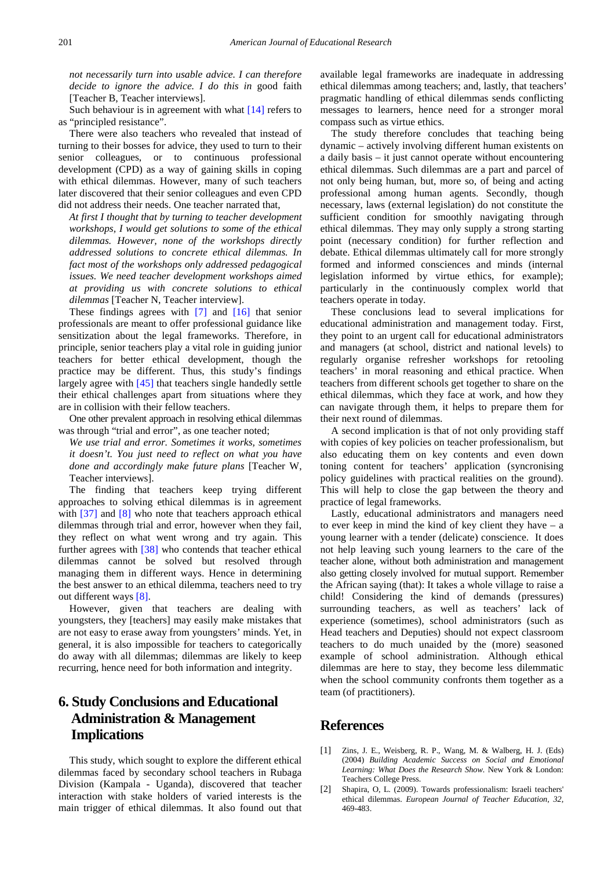*not necessarily turn into usable advice. I can therefore decide to ignore the advice. I do this in* good faith [Teacher B, Teacher interviews].

Such behaviour is in agreement with what [\[14\]](#page-8-7) refers to as "principled resistance".

There were also teachers who revealed that instead of turning to their bosses for advice, they used to turn to their senior colleagues, or to continuous professional development (CPD) as a way of gaining skills in coping with ethical dilemmas. However, many of such teachers later discovered that their senior colleagues and even CPD did not address their needs. One teacher narrated that,

*At first I thought that by turning to teacher development workshops, I would get solutions to some of the ethical dilemmas. However, none of the workshops directly addressed solutions to concrete ethical dilemmas. In fact most of the workshops only addressed pedagogical issues. We need teacher development workshops aimed at providing us with concrete solutions to ethical dilemmas* [Teacher N, Teacher interview].

These findings agrees with [\[7\]](#page-8-2) and [\[16\]](#page-8-9) that senior professionals are meant to offer professional guidance like sensitization about the legal frameworks. Therefore, in principle, senior teachers play a vital role in guiding junior teachers for better ethical development, though the practice may be different. Thus, this study's findings largely agree with [\[45\]](#page-8-30) that teachers single handedly settle their ethical challenges apart from situations where they are in collision with their fellow teachers.

One other prevalent approach in resolving ethical dilemmas was through "trial and error", as one teacher noted;

*We use trial and error. Sometimes it works, sometimes it doesn't. You just need to reflect on what you have done and accordingly make future plans* [Teacher W, Teacher interviews].

The finding that teachers keep trying different approaches to solving ethical dilemmas is in agreement with [\[37\]](#page-8-39) and [\[8\]](#page-8-3) who note that teachers approach ethical dilemmas through trial and error, however when they fail, they reflect on what went wrong and try again. This further agrees with [\[38\]](#page-8-33) who contends that teacher ethical dilemmas cannot be solved but resolved through managing them in different ways. Hence in determining the best answer to an ethical dilemma, teachers need to try out different ways [\[8\].](#page-8-3)

However, given that teachers are dealing with youngsters, they [teachers] may easily make mistakes that are not easy to erase away from youngsters' minds. Yet, in general, it is also impossible for teachers to categorically do away with all dilemmas; dilemmas are likely to keep recurring, hence need for both information and integrity.

# **6. Study Conclusions and Educational Administration & Management Implications**

This study, which sought to explore the different ethical dilemmas faced by secondary school teachers in Rubaga Division (Kampala - Uganda), discovered that teacher interaction with stake holders of varied interests is the main trigger of ethical dilemmas. It also found out that available legal frameworks are inadequate in addressing ethical dilemmas among teachers; and, lastly, that teachers' pragmatic handling of ethical dilemmas sends conflicting messages to learners, hence need for a stronger moral compass such as virtue ethics.

The study therefore concludes that teaching being dynamic – actively involving different human existents on a daily basis – it just cannot operate without encountering ethical dilemmas. Such dilemmas are a part and parcel of not only being human, but, more so, of being and acting professional among human agents. Secondly, though necessary, laws (external legislation) do not constitute the sufficient condition for smoothly navigating through ethical dilemmas. They may only supply a strong starting point (necessary condition) for further reflection and debate. Ethical dilemmas ultimately call for more strongly formed and informed consciences and minds (internal legislation informed by virtue ethics, for example); particularly in the continuously complex world that teachers operate in today.

These conclusions lead to several implications for educational administration and management today. First, they point to an urgent call for educational administrators and managers (at school, district and national levels) to regularly organise refresher workshops for retooling teachers' in moral reasoning and ethical practice. When teachers from different schools get together to share on the ethical dilemmas, which they face at work, and how they can navigate through them, it helps to prepare them for their next round of dilemmas.

A second implication is that of not only providing staff with copies of key policies on teacher professionalism, but also educating them on key contents and even down toning content for teachers' application (syncronising policy guidelines with practical realities on the ground). This will help to close the gap between the theory and practice of legal frameworks.

Lastly, educational administrators and managers need to ever keep in mind the kind of key client they have – a young learner with a tender (delicate) conscience. It does not help leaving such young learners to the care of the teacher alone, without both administration and management also getting closely involved for mutual support. Remember the African saying (that): It takes a whole village to raise a child! Considering the kind of demands (pressures) surrounding teachers, as well as teachers' lack of experience (sometimes), school administrators (such as Head teachers and Deputies) should not expect classroom teachers to do much unaided by the (more) seasoned example of school administration. Although ethical dilemmas are here to stay, they become less dilemmatic when the school community confronts them together as a team (of practitioners).

## **References**

- <span id="page-7-0"></span>[1] Zins, J. E., Weisberg, R. P., Wang, M. & Walberg, H. J. (Eds) (2004) *Building Academic Success on Social and Emotional Learning: What Does the Research Show.* New York & London: Teachers College Press.
- <span id="page-7-1"></span>[2] Shapira, O, L. (2009). Towards professionalism: Israeli teachers' ethical dilemmas. *European Journal of Teacher Education, 32,*  469-483.